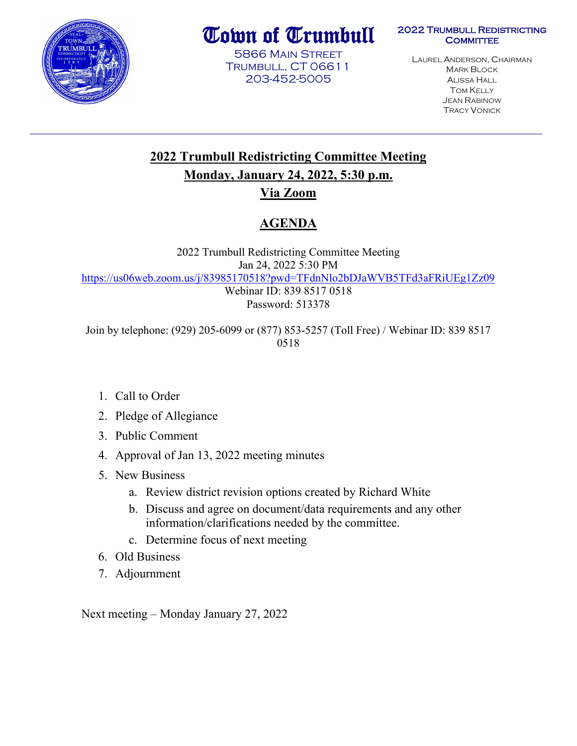

# Town of Trumbull

5866 Main Street Trumbull, CT 06611 203-452-5005

#### 2022 Trumbull Redistricting **COMMITTEE**

LAUREL ANDERSON, CHAIRMAN MARK BLOCK ALISSA HALL **TOM KELLY** JEAN RABINOW TRACY VONICK

# **2022 Trumbull Redistricting Committee Meeting Monday, January 24, 2022, 5:30 p.m.**

# **Via Zoom**

# **AGENDA**

2022 Trumbull Redistricting Committee Meeting Jan 24, 2022 5:30 PM <https://us06web.zoom.us/j/83985170518?pwd=TFdnNlo2bDJaWVB5TFd3aFRiUEg1Zz09> Webinar ID: 839 8517 0518 Password: 513378

Join by telephone: (929) 205-6099 or (877) 853-5257 (Toll Free) / Webinar ID: 839 8517 0518

- 1. Call to Order
- 2. Pledge of Allegiance
- 3. Public Comment
- 4. Approval of Jan 13, 2022 meeting minutes
- 5. New Business
	- a. Review district revision options created by Richard White
	- b. Discuss and agree on document/data requirements and any other information/clarifications needed by the committee.
	- c. Determine focus of next meeting
- 6. Old Business
- 7. Adjournment

Next meeting – Monday January 27, 2022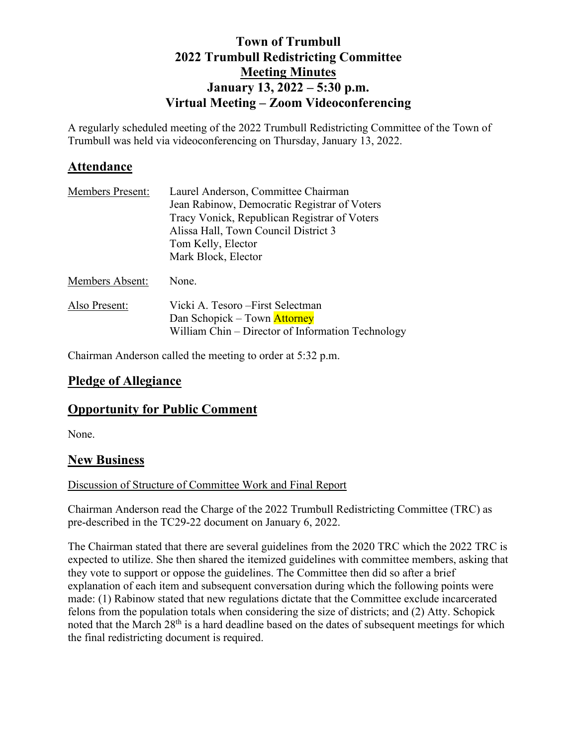# **Town of Trumbull 2022 Trumbull Redistricting Committee Meeting Minutes January 13, 2022 – 5:30 p.m. Virtual Meeting – Zoom Videoconferencing**

A regularly scheduled meeting of the 2022 Trumbull Redistricting Committee of the Town of Trumbull was held via videoconferencing on Thursday, January 13, 2022.

### **Attendance**

| <b>Members Present:</b> | Laurel Anderson, Committee Chairman               |
|-------------------------|---------------------------------------------------|
|                         | Jean Rabinow, Democratic Registrar of Voters      |
|                         | Tracy Vonick, Republican Registrar of Voters      |
|                         | Alissa Hall, Town Council District 3              |
|                         | Tom Kelly, Elector                                |
|                         | Mark Block, Elector                               |
| Members Absent:         | None.                                             |
| Also Present:           | Vicki A. Tesoro – First Selectman                 |
|                         | Dan Schopick – Town Attorney                      |
|                         | William Chin – Director of Information Technology |

Chairman Anderson called the meeting to order at 5:32 p.m.

# **Pledge of Allegiance**

# **Opportunity for Public Comment**

None.

# **New Business**

#### Discussion of Structure of Committee Work and Final Report

Chairman Anderson read the Charge of the 2022 Trumbull Redistricting Committee (TRC) as pre-described in the TC29-22 document on January 6, 2022.

The Chairman stated that there are several guidelines from the 2020 TRC which the 2022 TRC is expected to utilize. She then shared the itemized guidelines with committee members, asking that they vote to support or oppose the guidelines. The Committee then did so after a brief explanation of each item and subsequent conversation during which the following points were made: (1) Rabinow stated that new regulations dictate that the Committee exclude incarcerated felons from the population totals when considering the size of districts; and (2) Atty. Schopick noted that the March 28th is a hard deadline based on the dates of subsequent meetings for which the final redistricting document is required.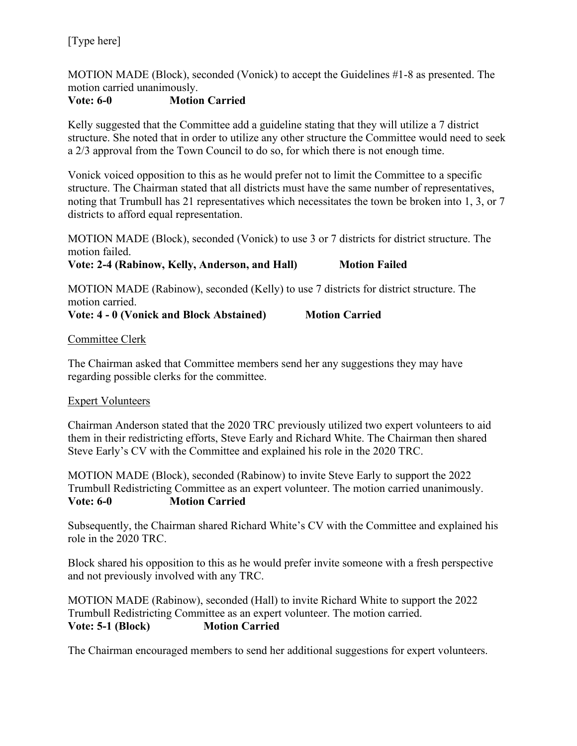### [Type here]

MOTION MADE (Block), seconded (Vonick) to accept the Guidelines #1-8 as presented. The motion carried unanimously.

#### **Vote: 6-0 Motion Carried**

Kelly suggested that the Committee add a guideline stating that they will utilize a 7 district structure. She noted that in order to utilize any other structure the Committee would need to seek a 2/3 approval from the Town Council to do so, for which there is not enough time.

Vonick voiced opposition to this as he would prefer not to limit the Committee to a specific structure. The Chairman stated that all districts must have the same number of representatives, noting that Trumbull has 21 representatives which necessitates the town be broken into 1, 3, or 7 districts to afford equal representation.

MOTION MADE (Block), seconded (Vonick) to use 3 or 7 districts for district structure. The motion failed.

**Vote: 2-4 (Rabinow, Kelly, Anderson, and Hall) Motion Failed** 

MOTION MADE (Rabinow), seconded (Kelly) to use 7 districts for district structure. The motion carried.

**Vote: 4 - 0 (Vonick and Block Abstained) Motion Carried** 

#### Committee Clerk

The Chairman asked that Committee members send her any suggestions they may have regarding possible clerks for the committee.

#### Expert Volunteers

Chairman Anderson stated that the 2020 TRC previously utilized two expert volunteers to aid them in their redistricting efforts, Steve Early and Richard White. The Chairman then shared Steve Early's CV with the Committee and explained his role in the 2020 TRC.

MOTION MADE (Block), seconded (Rabinow) to invite Steve Early to support the 2022 Trumbull Redistricting Committee as an expert volunteer. The motion carried unanimously. **Vote: 6-0 Motion Carried**

Subsequently, the Chairman shared Richard White's CV with the Committee and explained his role in the 2020 TRC.

Block shared his opposition to this as he would prefer invite someone with a fresh perspective and not previously involved with any TRC.

MOTION MADE (Rabinow), seconded (Hall) to invite Richard White to support the 2022 Trumbull Redistricting Committee as an expert volunteer. The motion carried. **Vote: 5-1 (Block) Motion Carried**

The Chairman encouraged members to send her additional suggestions for expert volunteers.